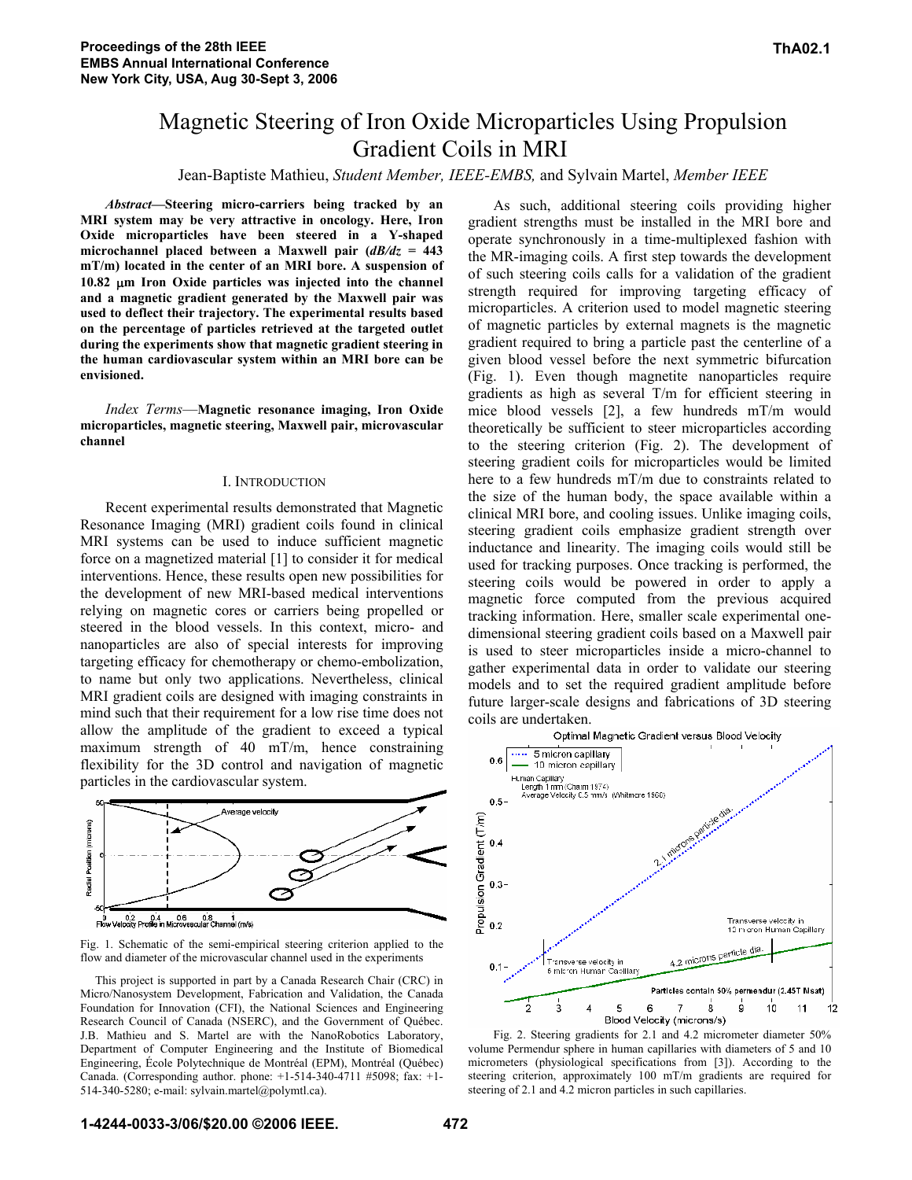# Magnetic Steering of Iron Oxide Microparticles Using Propulsion Gradient Coils in MRI

Jean-Baptiste Mathieu, *Student Member, IEEE-EMBS,* and Sylvain Martel, *Member IEEE* 

*Abstract***—Steering micro-carriers being tracked by an MRI system may be very attractive in oncology. Here, Iron Oxide microparticles have been steered in a Y-shaped microchannel placed between a Maxwell pair (***dB/dz* **= 443 mT/m) located in the center of an MRI bore. A suspension of**  10.82 µm Iron Oxide particles was injected into the channel **and a magnetic gradient generated by the Maxwell pair was used to deflect their trajectory. The experimental results based on the percentage of particles retrieved at the targeted outlet during the experiments show that magnetic gradient steering in the human cardiovascular system within an MRI bore can be envisioned.**

*Index Terms*—**Magnetic resonance imaging, Iron Oxide microparticles, magnetic steering, Maxwell pair, microvascular channel** 

### I. INTRODUCTION

Recent experimental results demonstrated that Magnetic Resonance Imaging (MRI) gradient coils found in clinical MRI systems can be used to induce sufficient magnetic force on a magnetized material [1] to consider it for medical interventions. Hence, these results open new possibilities for the development of new MRI-based medical interventions relying on magnetic cores or carriers being propelled or steered in the blood vessels. In this context, micro- and nanoparticles are also of special interests for improving targeting efficacy for chemotherapy or chemo-embolization, to name but only two applications. Nevertheless, clinical MRI gradient coils are designed with imaging constraints in mind such that their requirement for a low rise time does not allow the amplitude of the gradient to exceed a typical maximum strength of 40 mT/m, hence constraining flexibility for the 3D control and navigation of magnetic particles in the cardiovascular system.



Fig. 1. Schematic of the semi-empirical steering criterion applied to the flow and diameter of the microvascular channel used in the experiments

This project is supported in part by a Canada Research Chair (CRC) in Micro/Nanosystem Development, Fabrication and Validation, the Canada Foundation for Innovation (CFI), the National Sciences and Engineering Research Council of Canada (NSERC), and the Government of Québec. J.B. Mathieu and S. Martel are with the NanoRobotics Laboratory, Department of Computer Engineering and the Institute of Biomedical Engineering, École Polytechnique de Montréal (EPM), Montréal (Québec) Canada. (Corresponding author. phone: +1-514-340-4711 #5098; fax: +1- 514-340-5280; e-mail: sylvain.martel@polymtl.ca).

As such, additional steering coils providing higher gradient strengths must be installed in the MRI bore and operate synchronously in a time-multiplexed fashion with the MR-imaging coils. A first step towards the development of such steering coils calls for a validation of the gradient strength required for improving targeting efficacy of microparticles. A criterion used to model magnetic steering of magnetic particles by external magnets is the magnetic gradient required to bring a particle past the centerline of a given blood vessel before the next symmetric bifurcation (Fig. 1). Even though magnetite nanoparticles require gradients as high as several T/m for efficient steering in mice blood vessels [2], a few hundreds mT/m would theoretically be sufficient to steer microparticles according to the steering criterion (Fig. 2). The development of steering gradient coils for microparticles would be limited here to a few hundreds mT/m due to constraints related to the size of the human body, the space available within a clinical MRI bore, and cooling issues. Unlike imaging coils, steering gradient coils emphasize gradient strength over inductance and linearity. The imaging coils would still be used for tracking purposes. Once tracking is performed, the steering coils would be powered in order to apply a magnetic force computed from the previous acquired tracking information. Here, smaller scale experimental onedimensional steering gradient coils based on a Maxwell pair is used to steer microparticles inside a micro-channel to gather experimental data in order to validate our steering models and to set the required gradient amplitude before future larger-scale designs and fabrications of 3D steering coils are undertaken.



Fig. 2. Steering gradients for 2.1 and 4.2 micrometer diameter 50% volume Permendur sphere in human capillaries with diameters of 5 and 10 micrometers (physiological specifications from [3]). According to the steering criterion, approximately 100 mT/m gradients are required for steering of 2.1 and 4.2 micron particles in such capillaries.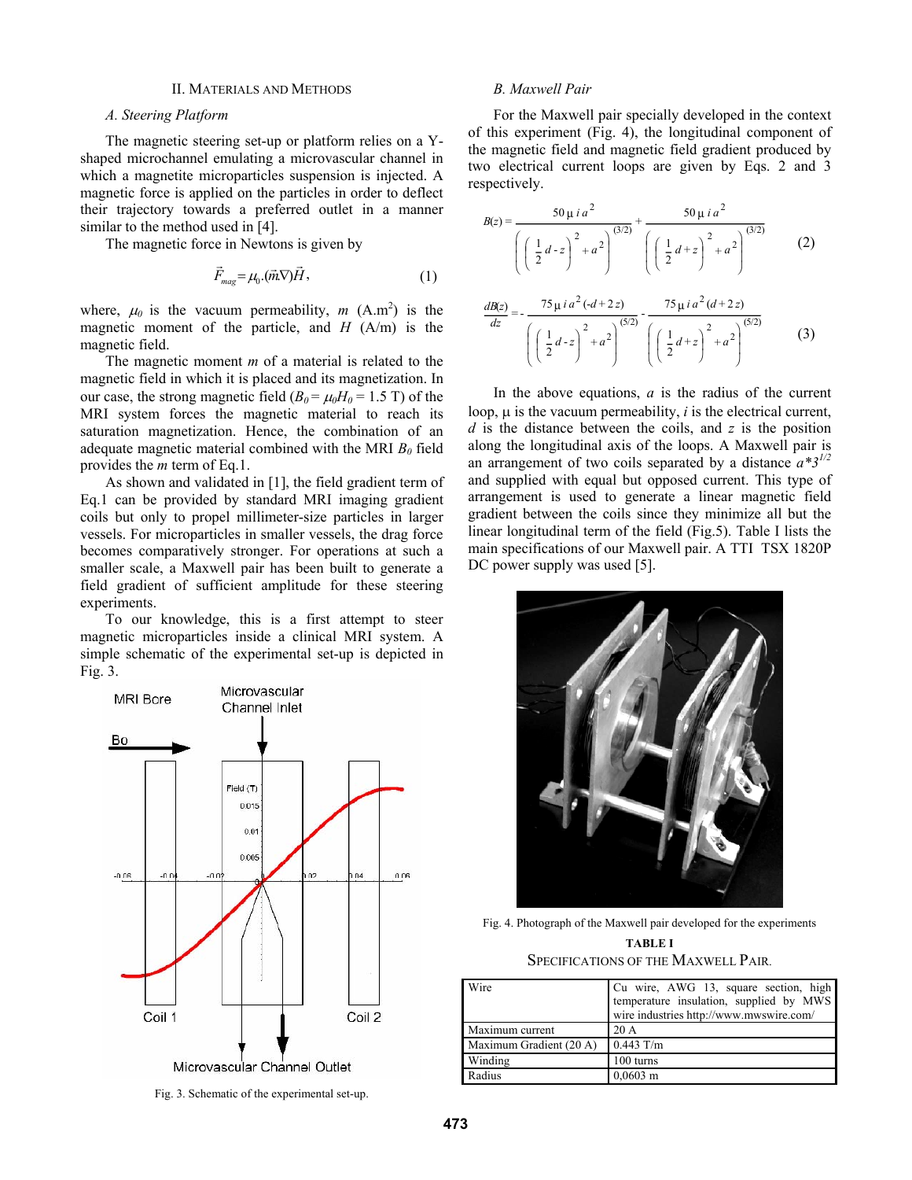## II. MATERIALS AND METHODS

# *A. Steering Platform*

The magnetic steering set-up or platform relies on a Yshaped microchannel emulating a microvascular channel in which a magnetite microparticles suspension is injected. A magnetic force is applied on the particles in order to deflect their trajectory towards a preferred outlet in a manner similar to the method used in [4].

The magnetic force in Newtons is given by

$$
\vec{F}_{mag} = \mu_0 \cdot (\vec{m} \nabla) \vec{H},\tag{1}
$$

where,  $\mu_0$  is the vacuum permeability, *m* (A.m<sup>2</sup>) is the magnetic moment of the particle, and *H* (A/m) is the magnetic field.

The magnetic moment *m* of a material is related to the magnetic field in which it is placed and its magnetization. In our case, the strong magnetic field  $(B_0 = \mu_0 H_0 = 1.5 \text{ T})$  of the MRI system forces the magnetic material to reach its saturation magnetization. Hence, the combination of an adequate magnetic material combined with the MRI  $B_0$  field provides the *m* term of Eq.1.

As shown and validated in [1], the field gradient term of Eq.1 can be provided by standard MRI imaging gradient coils but only to propel millimeter-size particles in larger vessels. For microparticles in smaller vessels, the drag force becomes comparatively stronger. For operations at such a smaller scale, a Maxwell pair has been built to generate a field gradient of sufficient amplitude for these steering experiments.

To our knowledge, this is a first attempt to steer magnetic microparticles inside a clinical MRI system. A simple schematic of the experimental set-up is depicted in Fig. 3.



Fig. 3. Schematic of the experimental set-up.

# *B. Maxwell Pair*

For the Maxwell pair specially developed in the context of this experiment (Fig. 4), the longitudinal component of the magnetic field and magnetic field gradient produced by two electrical current loops are given by Eqs. 2 and 3 respectively.

$$
B(z) = \frac{50 \mu i a^2}{\left( \left( \frac{1}{2} d - z \right)^2 + a^2 \right)^{(3/2)}} + \frac{50 \mu i a^2}{\left( \left( \frac{1}{2} d + z \right)^2 + a^2 \right)^{(3/2)}} \tag{2}
$$

$$
\frac{dR(z)}{dz} = -\frac{75 \mu i a^2 (d+2z)}{\left( \left( \frac{1}{2} d - z \right)^2 + a^2 \right)^{(5/2)}} - \frac{75 \mu i a^2 (d+2z)}{\left( \left( \frac{1}{2} d + z \right)^2 + a^2 \right)^{(5/2)}}\tag{3}
$$

In the above equations, *a* is the radius of the current loop,  $\mu$  is the vacuum permeability, *i* is the electrical current, *d* is the distance between the coils, and *z* is the position along the longitudinal axis of the loops. A Maxwell pair is an arrangement of two coils separated by a distance  $a*3^{1/2}$ and supplied with equal but opposed current. This type of arrangement is used to generate a linear magnetic field gradient between the coils since they minimize all but the linear longitudinal term of the field (Fig.5). Table I lists the main specifications of our Maxwell pair. A TTI TSX 1820P DC power supply was used [5].



Fig. 4. Photograph of the Maxwell pair developed for the experiments

| <b>TABLE I</b>                             |
|--------------------------------------------|
| <b>SPECIFICATIONS OF THE MAXWELL PAIR.</b> |

| Wire                    | Cu wire, AWG 13, square section, high<br>temperature insulation, supplied by MWS<br>wire industries http://www.mwswire.com/ |
|-------------------------|-----------------------------------------------------------------------------------------------------------------------------|
| Maximum current         | 20A                                                                                                                         |
| Maximum Gradient (20 A) | $0.443$ T/m                                                                                                                 |
| Winding                 | 100 turns                                                                                                                   |
| Radius                  | $0,0603$ m                                                                                                                  |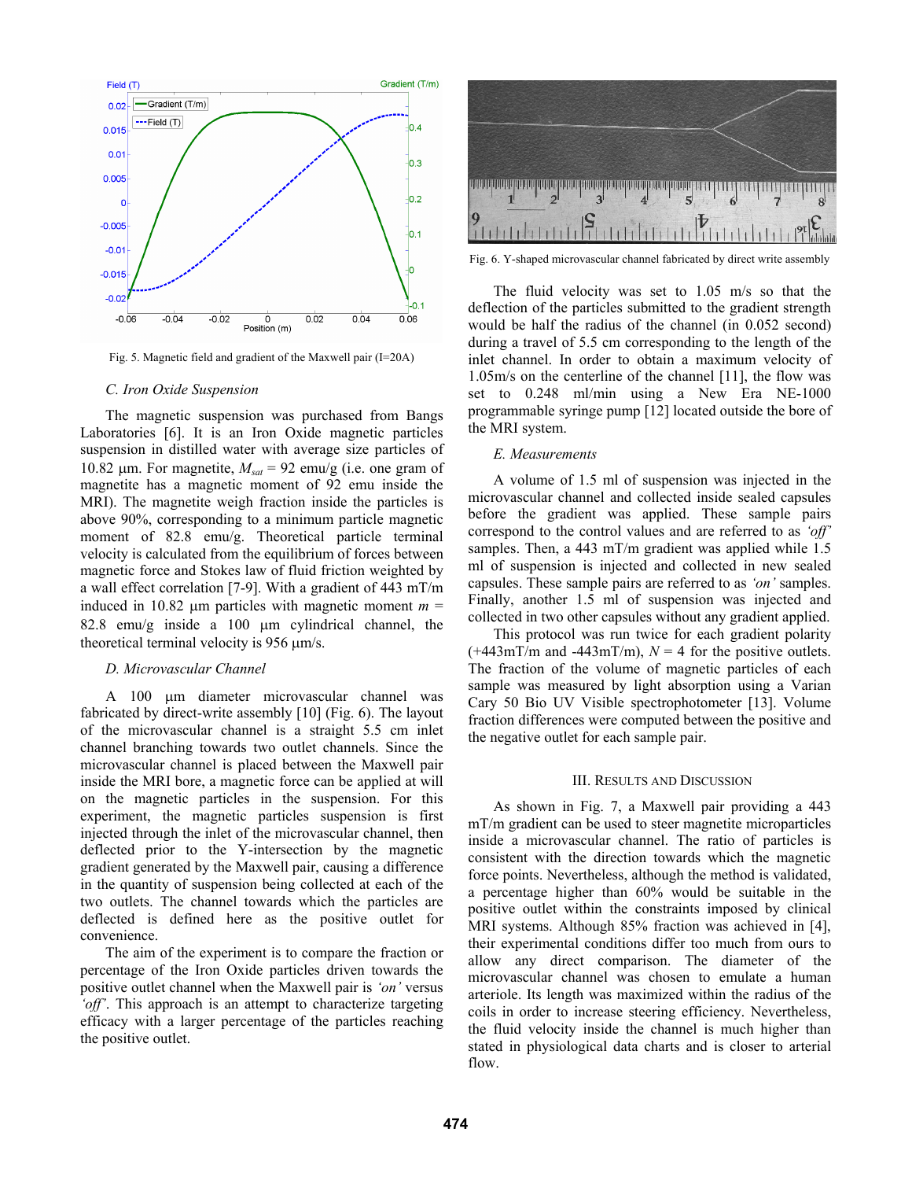

Fig. 5. Magnetic field and gradient of the Maxwell pair (I=20A)

## *C. Iron Oxide Suspension*

The magnetic suspension was purchased from Bangs Laboratories [6]. It is an Iron Oxide magnetic particles suspension in distilled water with average size particles of 10.82  $\mu$ m. For magnetite,  $M_{sat}$  = 92 emu/g (i.e. one gram of magnetite has a magnetic moment of 92 emu inside the MRI). The magnetite weigh fraction inside the particles is above 90%, corresponding to a minimum particle magnetic moment of 82.8 emu/g. Theoretical particle terminal velocity is calculated from the equilibrium of forces between magnetic force and Stokes law of fluid friction weighted by a wall effect correlation [7-9]. With a gradient of 443 mT/m induced in 10.82  $\mu$ m particles with magnetic moment  $m =$ 82.8 emu/g inside a 100  $\mu$ m cylindrical channel, the theoretical terminal velocity is  $956 \mu m/s$ .

### *D. Microvascular Channel*

A 100 µm diameter microvascular channel was fabricated by direct-write assembly [10] (Fig. 6). The layout of the microvascular channel is a straight 5.5 cm inlet channel branching towards two outlet channels. Since the microvascular channel is placed between the Maxwell pair inside the MRI bore, a magnetic force can be applied at will on the magnetic particles in the suspension. For this experiment, the magnetic particles suspension is first injected through the inlet of the microvascular channel, then deflected prior to the Y-intersection by the magnetic gradient generated by the Maxwell pair, causing a difference in the quantity of suspension being collected at each of the two outlets. The channel towards which the particles are deflected is defined here as the positive outlet for convenience.

The aim of the experiment is to compare the fraction or percentage of the Iron Oxide particles driven towards the positive outlet channel when the Maxwell pair is *'on'* versus *'off'*. This approach is an attempt to characterize targeting efficacy with a larger percentage of the particles reaching the positive outlet.



Fig. 6. Y-shaped microvascular channel fabricated by direct write assembly

The fluid velocity was set to 1.05 m/s so that the deflection of the particles submitted to the gradient strength would be half the radius of the channel (in 0.052 second) during a travel of 5.5 cm corresponding to the length of the inlet channel. In order to obtain a maximum velocity of 1.05m/s on the centerline of the channel [11], the flow was set to 0.248 ml/min using a New Era NE-1000 programmable syringe pump [12] located outside the bore of the MRI system.

#### *E. Measurements*

A volume of 1.5 ml of suspension was injected in the microvascular channel and collected inside sealed capsules before the gradient was applied. These sample pairs correspond to the control values and are referred to as *'off'*  samples. Then, a 443 mT/m gradient was applied while 1.5 ml of suspension is injected and collected in new sealed capsules. These sample pairs are referred to as *'on'* samples. Finally, another 1.5 ml of suspension was injected and collected in two other capsules without any gradient applied.

This protocol was run twice for each gradient polarity  $(+443 \text{mT/m}$  and  $-443 \text{mT/m}$ ),  $N = 4$  for the positive outlets. The fraction of the volume of magnetic particles of each sample was measured by light absorption using a Varian Cary 50 Bio UV Visible spectrophotometer [13]. Volume fraction differences were computed between the positive and the negative outlet for each sample pair.

# III. RESULTS AND DISCUSSION

As shown in Fig. 7, a Maxwell pair providing a 443 mT/m gradient can be used to steer magnetite microparticles inside a microvascular channel. The ratio of particles is consistent with the direction towards which the magnetic force points. Nevertheless, although the method is validated, a percentage higher than 60% would be suitable in the positive outlet within the constraints imposed by clinical MRI systems. Although 85% fraction was achieved in [4], their experimental conditions differ too much from ours to allow any direct comparison. The diameter of the microvascular channel was chosen to emulate a human arteriole. Its length was maximized within the radius of the coils in order to increase steering efficiency. Nevertheless, the fluid velocity inside the channel is much higher than stated in physiological data charts and is closer to arterial flow.